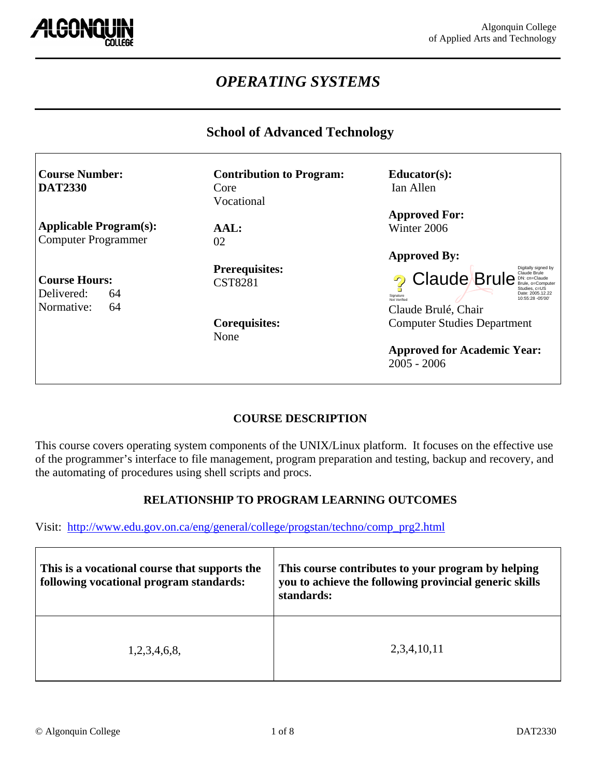

# *OPERATING SYSTEMS*

### **School of Advanced Technology**

| <b>Course Number:</b>         | <b>Contribution to Program:</b> | $Educator(s)$ :                                                        |
|-------------------------------|---------------------------------|------------------------------------------------------------------------|
| <b>DAT2330</b>                | Core                            | Ian Allen                                                              |
|                               | Vocational                      |                                                                        |
|                               |                                 | <b>Approved For:</b>                                                   |
| <b>Applicable Program(s):</b> | AAL:                            | Winter 2006                                                            |
| <b>Computer Programmer</b>    | 02                              |                                                                        |
|                               |                                 | <b>Approved By:</b>                                                    |
|                               | <b>Prerequisites:</b>           | Digitally signed by<br>Claude Brule                                    |
| <b>Course Hours:</b>          | <b>CST8281</b>                  | <sup>2</sup> Claude Brule <b>Brunde</b> Brunde Bruise<br>Studies, c=US |
| Delivered:<br>64              |                                 | Date: 2005.12.22<br>Signature<br>10:55:28 -05'00'<br>Not Verified      |
| Normative:<br>64              |                                 | Claude Brulé, Chair                                                    |
|                               | <b>Corequisites:</b>            | <b>Computer Studies Department</b>                                     |
|                               | None                            |                                                                        |
|                               |                                 | <b>Approved for Academic Year:</b>                                     |
|                               |                                 | $2005 - 2006$                                                          |

### **COURSE DESCRIPTION**

This course covers operating system components of the UNIX/Linux platform. It focuses on the effective use of the programmer's interface to file management, program preparation and testing, backup and recovery, and the automating of procedures using shell scripts and procs.

### **RELATIONSHIP TO PROGRAM LEARNING OUTCOMES**

Visit: http://www.edu.gov.on.ca/eng/general/college/progstan/techno/comp\_prg2.html

| This is a vocational course that supports the<br>following vocational program standards: | This course contributes to your program by helping<br>you to achieve the following provincial generic skills<br>standards: |
|------------------------------------------------------------------------------------------|----------------------------------------------------------------------------------------------------------------------------|
| 1,2,3,4,6,8,                                                                             | 2,3,4,10,11                                                                                                                |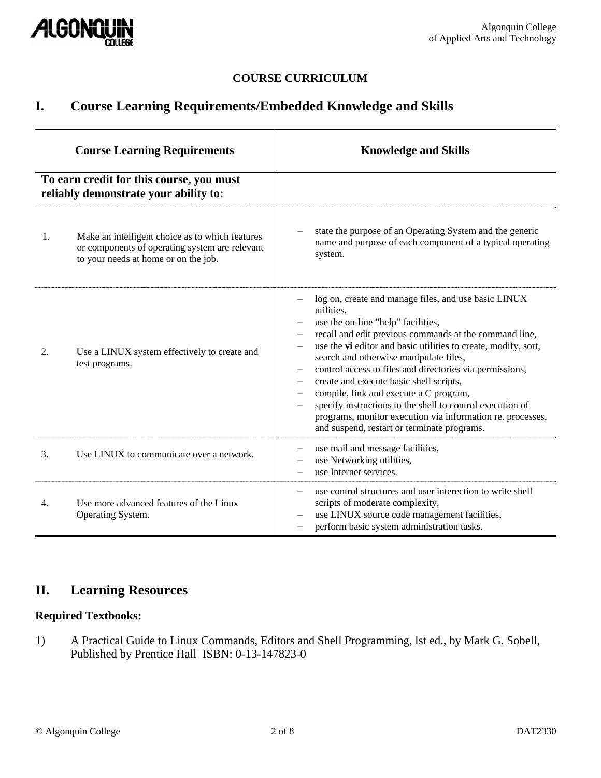

### **COURSE CURRICULUM**

## **I. Course Learning Requirements/Embedded Knowledge and Skills**

| <b>Course Learning Requirements</b><br>To earn credit for this course, you must<br>reliably demonstrate your ability to: |                                                                | <b>Knowledge and Skills</b>                                                                                                                                                                                                                                                                                                                                                                                                                                                                                                                                                                                                                                                                   |  |
|--------------------------------------------------------------------------------------------------------------------------|----------------------------------------------------------------|-----------------------------------------------------------------------------------------------------------------------------------------------------------------------------------------------------------------------------------------------------------------------------------------------------------------------------------------------------------------------------------------------------------------------------------------------------------------------------------------------------------------------------------------------------------------------------------------------------------------------------------------------------------------------------------------------|--|
|                                                                                                                          |                                                                |                                                                                                                                                                                                                                                                                                                                                                                                                                                                                                                                                                                                                                                                                               |  |
| 2.                                                                                                                       | Use a LINUX system effectively to create and<br>test programs. | log on, create and manage files, and use basic LINUX<br>utilities,<br>use the on-line "help" facilities,<br>recall and edit previous commands at the command line,<br>$\overline{\phantom{m}}$<br>use the vi editor and basic utilities to create, modify, sort,<br>$\overline{\phantom{m}}$<br>search and otherwise manipulate files,<br>control access to files and directories via permissions,<br>$\overline{\phantom{m}}$<br>create and execute basic shell scripts,<br>compile, link and execute a C program,<br>specify instructions to the shell to control execution of<br>programs, monitor execution via information re. processes,<br>and suspend, restart or terminate programs. |  |
| 3.                                                                                                                       | Use LINUX to communicate over a network.                       | use mail and message facilities,<br>use Networking utilities,<br>use Internet services.                                                                                                                                                                                                                                                                                                                                                                                                                                                                                                                                                                                                       |  |
| 4.                                                                                                                       | Use more advanced features of the Linux<br>Operating System.   | use control structures and user interection to write shell<br>scripts of moderate complexity,<br>use LINUX source code management facilities,<br>perform basic system administration tasks.                                                                                                                                                                                                                                                                                                                                                                                                                                                                                                   |  |

# **II. Learning Resources**

### **Required Textbooks:**

1) A Practical Guide to Linux Commands, Editors and Shell Programming, lst ed., by Mark G. Sobell, Published by Prentice Hall ISBN: 0-13-147823-0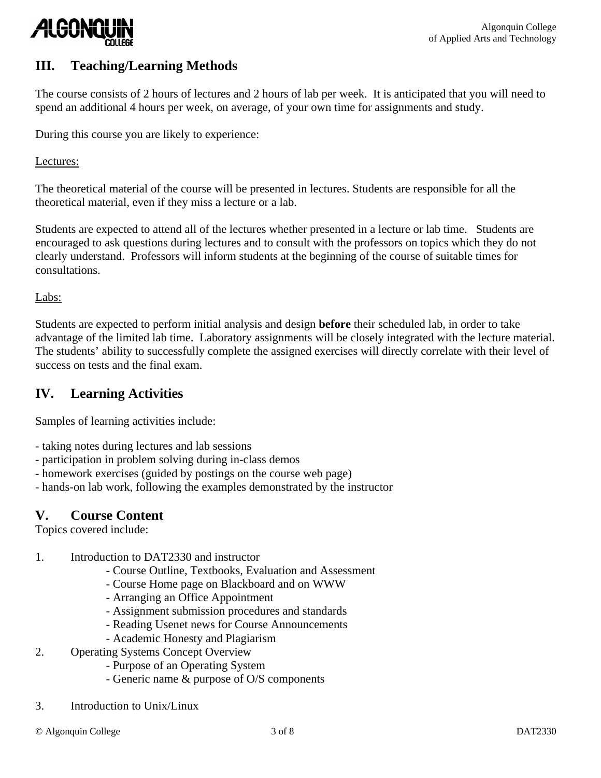

## **III. Teaching/Learning Methods**

The course consists of 2 hours of lectures and 2 hours of lab per week. It is anticipated that you will need to spend an additional 4 hours per week, on average, of your own time for assignments and study.

During this course you are likely to experience:

Lectures:

The theoretical material of the course will be presented in lectures. Students are responsible for all the theoretical material, even if they miss a lecture or a lab.

Students are expected to attend all of the lectures whether presented in a lecture or lab time. Students are encouraged to ask questions during lectures and to consult with the professors on topics which they do not clearly understand. Professors will inform students at the beginning of the course of suitable times for consultations.

Labs:

Students are expected to perform initial analysis and design **before** their scheduled lab, in order to take advantage of the limited lab time. Laboratory assignments will be closely integrated with the lecture material. The students' ability to successfully complete the assigned exercises will directly correlate with their level of success on tests and the final exam.

## **IV. Learning Activities**

Samples of learning activities include:

- taking notes during lectures and lab sessions
- participation in problem solving during in-class demos
- homework exercises (guided by postings on the course web page)
- hands-on lab work, following the examples demonstrated by the instructor

### **V. Course Content**

Topics covered include:

- 1. Introduction to DAT2330 and instructor
	- Course Outline, Textbooks, Evaluation and Assessment
	- Course Home page on Blackboard and on WWW
	- Arranging an Office Appointment
	- Assignment submission procedures and standards
	- Reading Usenet news for Course Announcements
	- Academic Honesty and Plagiarism
- 2. Operating Systems Concept Overview
	- Purpose of an Operating System
		- Generic name & purpose of O/S components
- 3. Introduction to Unix/Linux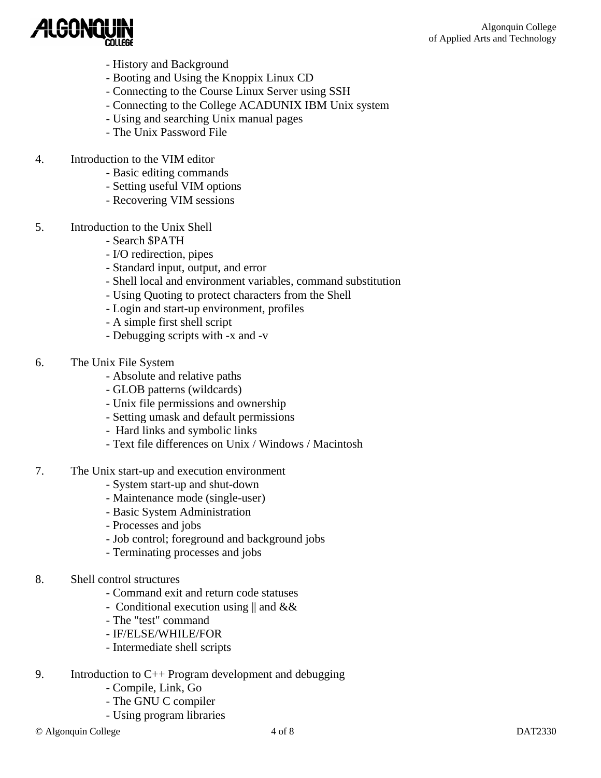

- History and Background
- Booting and Using the Knoppix Linux CD
- Connecting to the Course Linux Server using SSH
- Connecting to the College ACADUNIX IBM Unix system
- Using and searching Unix manual pages
- The Unix Password File
- 4. Introduction to the VIM editor
	- Basic editing commands
	- Setting useful VIM options
	- Recovering VIM sessions
- 5. Introduction to the Unix Shell
	- Search \$PATH
	- I/O redirection, pipes
	- Standard input, output, and error
	- Shell local and environment variables, command substitution
	- Using Quoting to protect characters from the Shell
	- Login and start-up environment, profiles
	- A simple first shell script
	- Debugging scripts with -x and -v
- 6. The Unix File System
	- Absolute and relative paths
	- GLOB patterns (wildcards)
	- Unix file permissions and ownership
	- Setting umask and default permissions
	- Hard links and symbolic links
	- Text file differences on Unix / Windows / Macintosh
- 7. The Unix start-up and execution environment
	- System start-up and shut-down
	- Maintenance mode (single-user)
	- Basic System Administration
	- Processes and jobs
	- Job control; foreground and background jobs
	- Terminating processes and jobs
- 8. Shell control structures
	- Command exit and return code statuses
	- Conditional execution using || and &&
	- The "test" command
	- IF/ELSE/WHILE/FOR
	- Intermediate shell scripts
- 9. Introduction to C++ Program development and debugging
	- Compile, Link, Go
	- The GNU C compiler
	- Using program libraries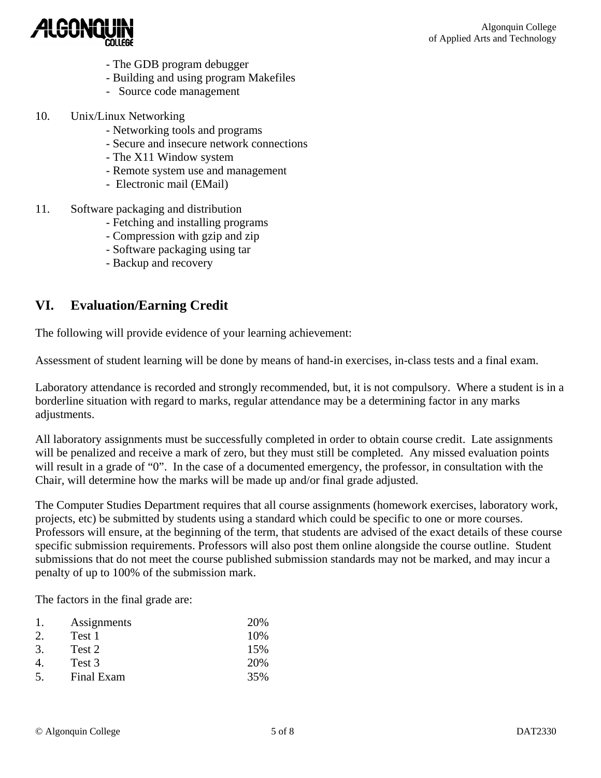

- The GDB program debugger
- Building and using program Makefiles
- Source code management
- 10. Unix/Linux Networking
	- Networking tools and programs
	- Secure and insecure network connections
	- The X11 Window system
	- Remote system use and management
	- Electronic mail (EMail)
- 11. Software packaging and distribution
	- Fetching and installing programs
	- Compression with gzip and zip
	- Software packaging using tar
	- Backup and recovery

### **VI. Evaluation/Earning Credit**

The following will provide evidence of your learning achievement:

Assessment of student learning will be done by means of hand-in exercises, in-class tests and a final exam.

Laboratory attendance is recorded and strongly recommended, but, it is not compulsory. Where a student is in a borderline situation with regard to marks, regular attendance may be a determining factor in any marks adjustments.

All laboratory assignments must be successfully completed in order to obtain course credit. Late assignments will be penalized and receive a mark of zero, but they must still be completed. Any missed evaluation points will result in a grade of "0". In the case of a documented emergency, the professor, in consultation with the Chair, will determine how the marks will be made up and/or final grade adjusted.

The Computer Studies Department requires that all course assignments (homework exercises, laboratory work, projects, etc) be submitted by students using a standard which could be specific to one or more courses. Professors will ensure, at the beginning of the term, that students are advised of the exact details of these course specific submission requirements. Professors will also post them online alongside the course outline. Student submissions that do not meet the course published submission standards may not be marked, and may incur a penalty of up to 100% of the submission mark.

The factors in the final grade are:

|         | Assignments | 20% |
|---------|-------------|-----|
| $2^{1}$ | Test 1      | 10% |
| 3.      | Test 2      | 15% |
|         | Test 3      | 20% |
| .5.     | Final Exam  | 35% |
|         |             |     |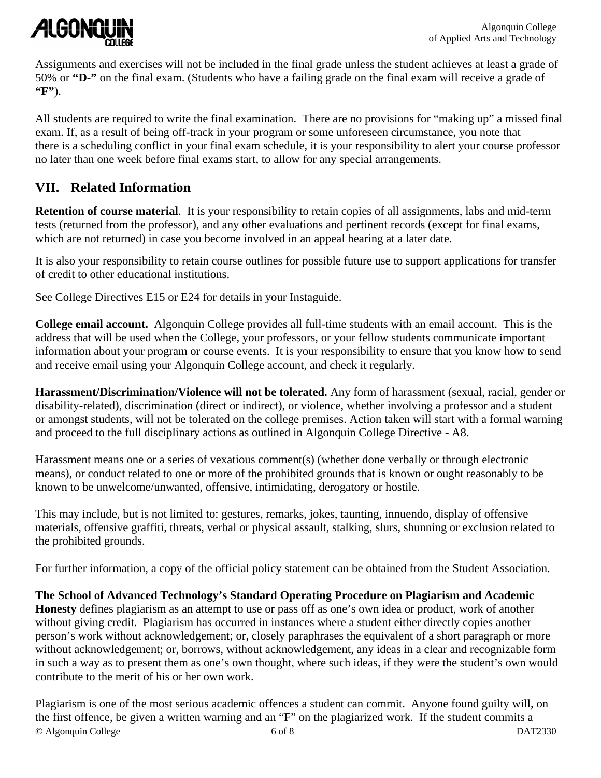

Assignments and exercises will not be included in the final grade unless the student achieves at least a grade of 50% or **"D-"** on the final exam. (Students who have a failing grade on the final exam will receive a grade of **"F"**).

All students are required to write the final examination. There are no provisions for "making up" a missed final exam. If, as a result of being off-track in your program or some unforeseen circumstance, you note that there is a scheduling conflict in your final exam schedule, it is your responsibility to alert your course professor no later than one week before final exams start, to allow for any special arrangements.

# **VII. Related Information**

**Retention of course material**. It is your responsibility to retain copies of all assignments, labs and mid-term tests (returned from the professor), and any other evaluations and pertinent records (except for final exams, which are not returned) in case you become involved in an appeal hearing at a later date.

It is also your responsibility to retain course outlines for possible future use to support applications for transfer of credit to other educational institutions.

See College Directives E15 or E24 for details in your Instaguide.

**College email account.** Algonquin College provides all full-time students with an email account. This is the address that will be used when the College, your professors, or your fellow students communicate important information about your program or course events. It is your responsibility to ensure that you know how to send and receive email using your Algonquin College account, and check it regularly.

**Harassment/Discrimination/Violence will not be tolerated.** Any form of harassment (sexual, racial, gender or disability-related), discrimination (direct or indirect), or violence, whether involving a professor and a student or amongst students, will not be tolerated on the college premises. Action taken will start with a formal warning and proceed to the full disciplinary actions as outlined in Algonquin College Directive - A8.

Harassment means one or a series of vexatious comment(s) (whether done verbally or through electronic means), or conduct related to one or more of the prohibited grounds that is known or ought reasonably to be known to be unwelcome/unwanted, offensive, intimidating, derogatory or hostile.

This may include, but is not limited to: gestures, remarks, jokes, taunting, innuendo, display of offensive materials, offensive graffiti, threats, verbal or physical assault, stalking, slurs, shunning or exclusion related to the prohibited grounds.

For further information, a copy of the official policy statement can be obtained from the Student Association.

**The School of Advanced Technology's Standard Operating Procedure on Plagiarism and Academic Honesty** defines plagiarism as an attempt to use or pass off as one's own idea or product, work of another without giving credit. Plagiarism has occurred in instances where a student either directly copies another person's work without acknowledgement; or, closely paraphrases the equivalent of a short paragraph or more without acknowledgement; or, borrows, without acknowledgement, any ideas in a clear and recognizable form in such a way as to present them as one's own thought, where such ideas, if they were the student's own would contribute to the merit of his or her own work.

© Algonquin College 6 of 8 DAT2330 Plagiarism is one of the most serious academic offences a student can commit. Anyone found guilty will, on the first offence, be given a written warning and an "F" on the plagiarized work. If the student commits a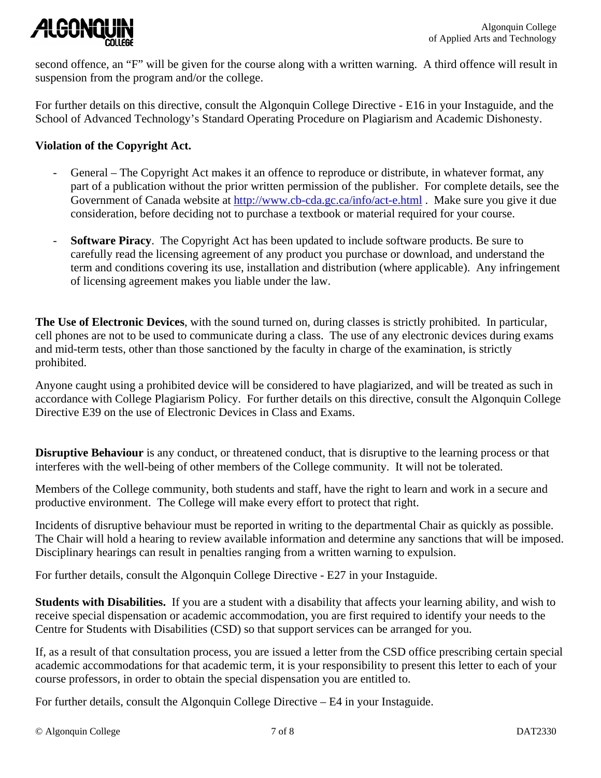

second offence, an "F" will be given for the course along with a written warning. A third offence will result in suspension from the program and/or the college.

For further details on this directive, consult the Algonquin College Directive - E16 in your Instaguide, and the School of Advanced Technology's Standard Operating Procedure on Plagiarism and Academic Dishonesty.

#### **Violation of the Copyright Act.**

- General The Copyright Act makes it an offence to reproduce or distribute, in whatever format, any part of a publication without the prior written permission of the publisher. For complete details, see the Government of Canada website at http://www.cb-cda.gc.ca/info/act-e.html . Make sure you give it due consideration, before deciding not to purchase a textbook or material required for your course.
- **Software Piracy**. The Copyright Act has been updated to include software products. Be sure to carefully read the licensing agreement of any product you purchase or download, and understand the term and conditions covering its use, installation and distribution (where applicable). Any infringement of licensing agreement makes you liable under the law.

**The Use of Electronic Devices**, with the sound turned on, during classes is strictly prohibited. In particular, cell phones are not to be used to communicate during a class. The use of any electronic devices during exams and mid-term tests, other than those sanctioned by the faculty in charge of the examination, is strictly prohibited.

Anyone caught using a prohibited device will be considered to have plagiarized, and will be treated as such in accordance with College Plagiarism Policy. For further details on this directive, consult the Algonquin College Directive E39 on the use of Electronic Devices in Class and Exams.

**Disruptive Behaviour** is any conduct, or threatened conduct, that is disruptive to the learning process or that interferes with the well-being of other members of the College community. It will not be tolerated.

Members of the College community, both students and staff, have the right to learn and work in a secure and productive environment. The College will make every effort to protect that right.

Incidents of disruptive behaviour must be reported in writing to the departmental Chair as quickly as possible. The Chair will hold a hearing to review available information and determine any sanctions that will be imposed. Disciplinary hearings can result in penalties ranging from a written warning to expulsion.

For further details, consult the Algonquin College Directive - E27 in your Instaguide.

**Students with Disabilities.** If you are a student with a disability that affects your learning ability, and wish to receive special dispensation or academic accommodation, you are first required to identify your needs to the Centre for Students with Disabilities (CSD) so that support services can be arranged for you.

If, as a result of that consultation process, you are issued a letter from the CSD office prescribing certain special academic accommodations for that academic term, it is your responsibility to present this letter to each of your course professors, in order to obtain the special dispensation you are entitled to.

For further details, consult the Algonquin College Directive – E4 in your Instaguide.